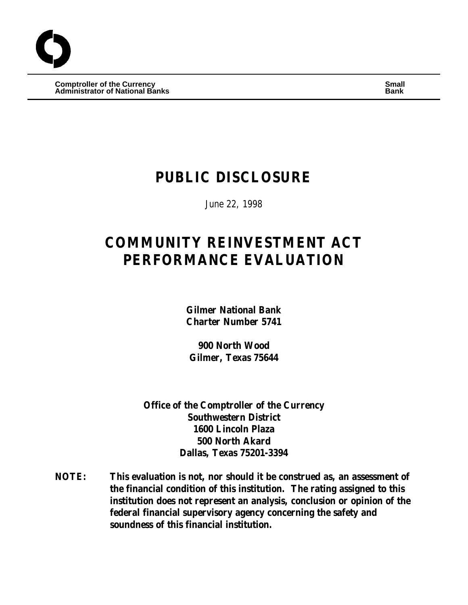**Comptroller of the Currency Small Administrator of National Banks Bank**

# **PUBLIC DISCLOSURE**

June 22, 1998

# **COMMUNITY REINVESTMENT ACT PERFORMANCE EVALUATION**

**Gilmer National Bank Charter Number 5741**

**900 North Wood Gilmer, Texas 75644**

**Office of the Comptroller of the Currency Southwestern District 1600 Lincoln Plaza 500 North Akard Dallas, Texas 75201-3394**

**NOTE: This evaluation is not, nor should it be construed as, an assessment of the financial condition of this institution. The rating assigned to this institution does not represent an analysis, conclusion or opinion of the federal financial supervisory agency concerning the safety and soundness of this financial institution.**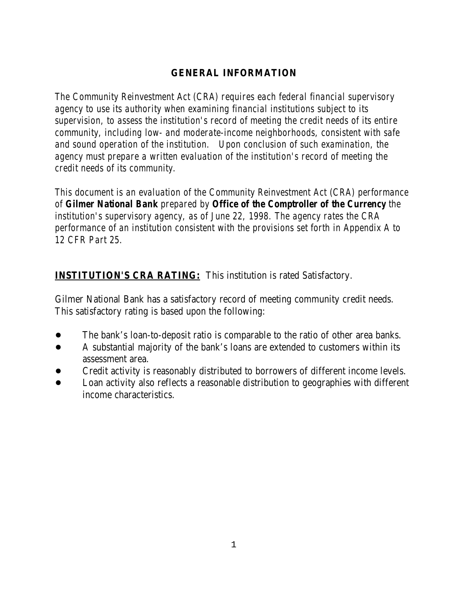## **GENERAL INFORMATION**

*The Community Reinvestment Act (CRA) requires each federal financial supervisory agency to use its authority when examining financial institutions subject to its supervision, to assess the institution's record of meeting the credit needs of its entire community, including low- and moderate-income neighborhoods, consistent with safe and sound operation of the institution. Upon conclusion of such examination, the agency must prepare a written evaluation of the institution's record of meeting the credit needs of its community.* 

*This document is an evaluation of the Community Reinvestment Act (CRA) performance of Gilmer National Bank prepared by Office of the Comptroller of the Currency the institution's supervisory agency, as of June 22, 1998. The agency rates the CRA performance of an institution consistent with the provisions set forth in Appendix A to 12 CFR Part 25.*

# **INSTITUTION'S CRA RATING:** This institution is rated Satisfactory.

Gilmer National Bank has a satisfactory record of meeting community credit needs. This satisfactory rating is based upon the following:

- The bank's loan-to-deposit ratio is comparable to the ratio of other area banks.
- A substantial majority of the bank's loans are extended to customers within its assessment area.
- ! Credit activity is reasonably distributed to borrowers of different income levels.
- ! Loan activity also reflects a reasonable distribution to geographies with different income characteristics.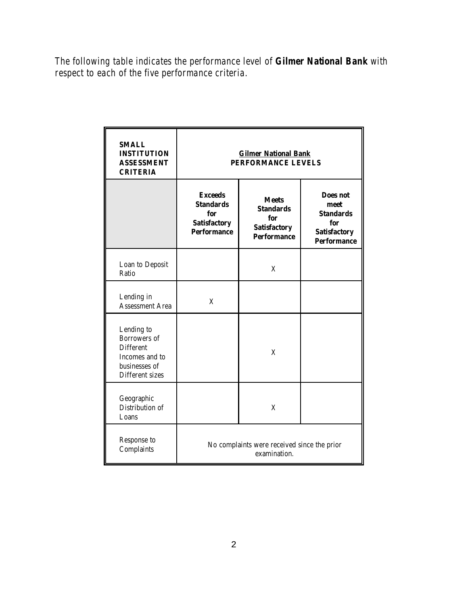*The following table indicates the performance level of Gilmer National Bank with respect to each of the five performance criteria.*

| <b>SMALL</b><br><b>INSTITUTION</b><br><b>ASSESSMENT</b><br><b>CRITERIA</b>                           | <b>Gilmer National Bank</b><br>PERFORMANCE LEVELS                                                                                                                              |   |                                                                                                 |  |  |  |  |
|------------------------------------------------------------------------------------------------------|--------------------------------------------------------------------------------------------------------------------------------------------------------------------------------|---|-------------------------------------------------------------------------------------------------|--|--|--|--|
|                                                                                                      | <b>Exceeds</b><br><b>Meets</b><br><b>Standards</b><br><b>Standards</b><br>for<br>for<br><b>Satisfactory</b><br><b>Satisfactory</b><br><b>Performance</b><br><b>Performance</b> |   | <b>Does not</b><br>meet<br><b>Standards</b><br>for<br><b>Satisfactory</b><br><b>Performance</b> |  |  |  |  |
| Loan to Deposit<br>Ratio                                                                             |                                                                                                                                                                                | X |                                                                                                 |  |  |  |  |
| Lending in<br><b>Assessment Area</b>                                                                 | X                                                                                                                                                                              |   |                                                                                                 |  |  |  |  |
| Lending to<br>Borrowers of<br><b>Different</b><br>Incomes and to<br>businesses of<br>Different sizes |                                                                                                                                                                                | X |                                                                                                 |  |  |  |  |
| Geographic<br>Distribution of<br>Loans                                                               |                                                                                                                                                                                | X |                                                                                                 |  |  |  |  |
| Response to<br>Complaints                                                                            | No complaints were received since the prior<br>examination.                                                                                                                    |   |                                                                                                 |  |  |  |  |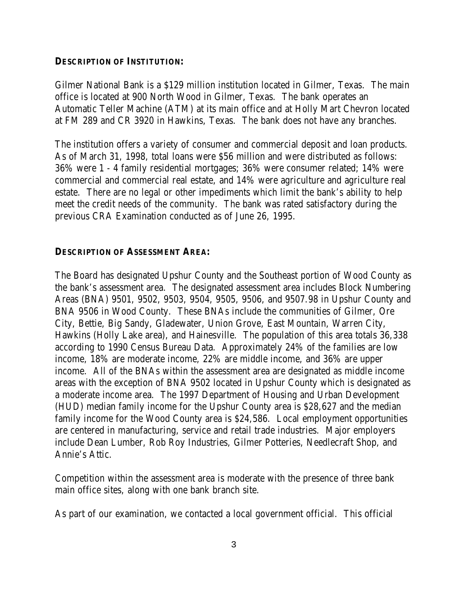#### **DESCRIPTION OF INSTITUTION:**

Gilmer National Bank is a \$129 million institution located in Gilmer, Texas. The main office is located at 900 North Wood in Gilmer, Texas. The bank operates an Automatic Teller Machine (ATM) at its main office and at Holly Mart Chevron located at FM 289 and CR 3920 in Hawkins, Texas. The bank does not have any branches.

The institution offers a variety of consumer and commercial deposit and loan products. As of March 31, 1998, total loans were \$56 million and were distributed as follows: 36% were 1 - 4 family residential mortgages; 36% were consumer related; 14% were commercial and commercial real estate, and 14% were agriculture and agriculture real estate. There are no legal or other impediments which limit the bank's ability to help meet the credit needs of the community. The bank was rated satisfactory during the previous CRA Examination conducted as of June 26, 1995.

#### **DESCRIPTION OF ASSESSMENT AREA:**

The Board has designated Upshur County and the Southeast portion of Wood County as the bank's assessment area. The designated assessment area includes Block Numbering Areas (BNA) 9501, 9502, 9503, 9504, 9505, 9506, and 9507.98 in Upshur County and BNA 9506 in Wood County. These BNAs include the communities of Gilmer, Ore City, Bettie, Big Sandy, Gladewater, Union Grove, East Mountain, Warren City, Hawkins (Holly Lake area), and Hainesville. The population of this area totals 36,338 according to 1990 Census Bureau Data. Approximately 24% of the families are low income, 18% are moderate income, 22% are middle income, and 36% are upper income. All of the BNAs within the assessment area are designated as middle income areas with the exception of BNA 9502 located in Upshur County which is designated as a moderate income area. The 1997 Department of Housing and Urban Development (HUD) median family income for the Upshur County area is \$28,627 and the median family income for the Wood County area is \$24,586. Local employment opportunities are centered in manufacturing, service and retail trade industries. Major employers include Dean Lumber, Rob Roy Industries, Gilmer Potteries, Needlecraft Shop, and Annie's Attic.

Competition within the assessment area is moderate with the presence of three bank main office sites, along with one bank branch site.

As part of our examination, we contacted a local government official. This official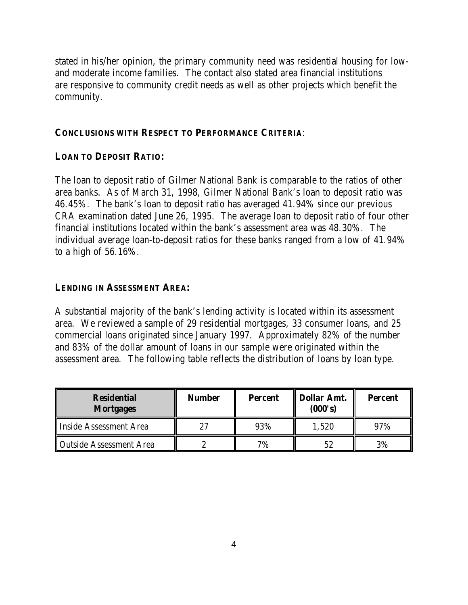stated in his/her opinion, the primary community need was residential housing for lowand moderate income families. The contact also stated area financial institutions are responsive to community credit needs as well as other projects which benefit the community.

#### **CONCLUSIONS WITH RESPECT TO PERFORMANCE CRITERIA**:

#### **LOAN TO DEPOSIT RATIO:**

The loan to deposit ratio of Gilmer National Bank is comparable to the ratios of other area banks. As of March 31, 1998, Gilmer National Bank's loan to deposit ratio was 46.45%. The bank's loan to deposit ratio has averaged 41.94% since our previous CRA examination dated June 26, 1995. The average loan to deposit ratio of four other financial institutions located within the bank's assessment area was 48.30%. The individual average loan-to-deposit ratios for these banks ranged from a low of 41.94% to a high of 56.16%.

#### **LENDING IN ASSESSMENT AREA:**

A substantial majority of the bank's lending activity is located within its assessment area. We reviewed a sample of 29 residential mortgages, 33 consumer loans, and 25 commercial loans originated since January 1997. Approximately 82% of the number and 83% of the dollar amount of loans in our sample were originated within the assessment area. The following table reflects the distribution of loans by loan type.

| <b>Residential</b><br><b>Mortgages</b> | <b>Number</b> | <b>Percent</b> | <b>Dollar Amt.</b><br>(000's) | <b>Percent</b> |  |
|----------------------------------------|---------------|----------------|-------------------------------|----------------|--|
| Inside Assessment Area                 |               | 93%            | 1,520                         | 97%            |  |
| <b>Outside Assessment Area</b>         |               | 7%             | 52                            | 3%             |  |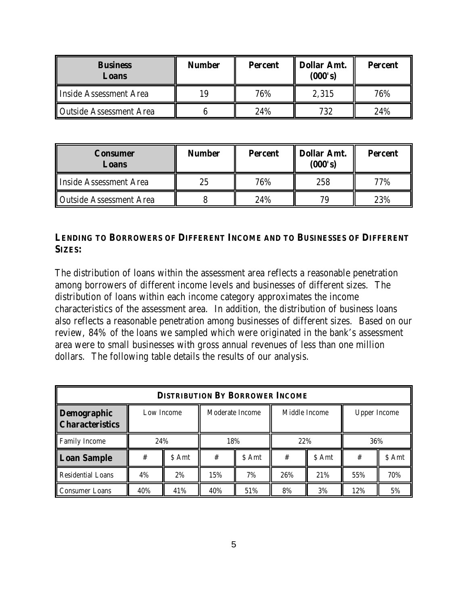| <b>Business</b><br>Loans       | <b>Number</b> | <b>Percent</b> | <b>Dollar Amt.</b><br>(000's) | <b>Percent</b> |  |
|--------------------------------|---------------|----------------|-------------------------------|----------------|--|
| Inside Assessment Area         |               | 76%            | 2,315                         | 76%            |  |
| <b>Outside Assessment Area</b> |               | 24%            | 732                           | 24%            |  |

| Consumer<br>Loans              | <b>Number</b> | <b>Percent</b> | <b>Dollar Amt.</b><br>(000's) | <b>Percent</b> |  |
|--------------------------------|---------------|----------------|-------------------------------|----------------|--|
| Inside Assessment Area         | 25            | 76%            | 258                           | 77%            |  |
| <b>Outside Assessment Area</b> |               | 24%            | 79                            | 23%            |  |

### **LENDING TO BORROWERS OF DIFFERENT INCOME AND TO BUSINESSES OF DIFFERENT SIZES:**

The distribution of loans within the assessment area reflects a reasonable penetration among borrowers of different income levels and businesses of different sizes. The distribution of loans within each income category approximates the income characteristics of the assessment area. In addition, the distribution of business loans also reflects a reasonable penetration among businesses of different sizes. Based on our review, 84% of the loans we sampled which were originated in the bank's assessment area were to small businesses with gross annual revenues of less than one million dollars. The following table details the results of our analysis.

| <b>DISTRIBUTION BY BORROWER INCOME</b> |     |                               |     |               |     |                     |     |        |  |
|----------------------------------------|-----|-------------------------------|-----|---------------|-----|---------------------|-----|--------|--|
| Demographic<br><b>Characteristics</b>  |     | Moderate Income<br>Low Income |     | Middle Income |     | <b>Upper Income</b> |     |        |  |
| <b>Family Income</b>                   | 24% |                               | 18% |               | 22% |                     | 36% |        |  |
| <b>Loan Sample</b>                     | #   | \$ Amt                        | #   | \$ Amt        | #   | \$ Amt              | #   | \$ Amt |  |
| <b>Residential Loans</b>               | 4%  | 2%                            | 15% | 7%            | 26% | 21%                 | 55% | 70%    |  |
| <b>Consumer Loans</b>                  | 40% | 41%                           | 40% | 51%           | 8%  | 3%                  | 12% | 5%     |  |